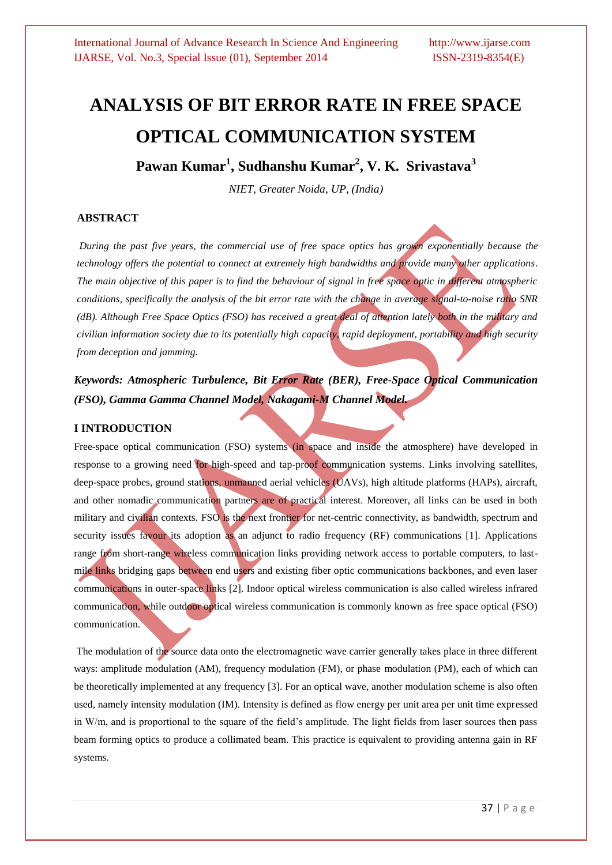# **ANALYSIS OF BIT ERROR RATE IN FREE SPACE OPTICAL COMMUNICATION SYSTEM**

**Pawan Kumar<sup>1</sup> , Sudhanshu Kumar<sup>2</sup> , V. K. Srivastava 3**

*NIET, Greater Noida, UP, (India)*

## **ABSTRACT**

*During the past five years, the commercial use of free space optics has grown exponentially because the technology offers the potential to connect at extremely high bandwidths and provide many other applications. The main objective of this paper is to find the behaviour of signal in free space optic in different atmospheric conditions, specifically the analysis of the bit error rate with the change in average signal-to-noise ratio SNR (dB). Although Free Space Optics (FSO) has received a great deal of attention lately both in the military and civilian information society due to its potentially high capacity, rapid deployment, portability and high security from deception and jamming***.**

*Keywords: Atmospheric Turbulence, Bit Error Rate (BER), Free-Space Optical Communication (FSO), Gamma Gamma Channel Model, Nakagami-M Channel Model.*

### **I INTRODUCTION**

Free-space optical communication (FSO) systems (in space and inside the atmosphere) have developed in response to a growing need for high-speed and tap-proof communication systems. Links involving satellites, deep-space probes, ground stations, unmanned aerial vehicles (UAVs), high altitude platforms (HAPs), aircraft, and other nomadic communication partners are of practical interest. Moreover, all links can be used in both military and civilian contexts. FSO is the next frontier for net-centric connectivity, as bandwidth, spectrum and security issues favour its adoption as an adjunct to radio frequency (RF) communications [1]. Applications range from short-range wireless communication links providing network access to portable computers, to lastmile links bridging gaps between end users and existing fiber optic communications backbones, and even laser communications in outer-space links [2]. Indoor optical wireless communication is also called wireless infrared communication, while outdoor optical wireless communication is commonly known as free space optical (FSO) communication.

The modulation of the source data onto the electromagnetic wave carrier generally takes place in three different ways: amplitude modulation (AM), frequency modulation (FM), or phase modulation (PM), each of which can be theoretically implemented at any frequency [3]. For an optical wave, another modulation scheme is also often used, namely intensity modulation (IM). Intensity is defined as flow energy per unit area per unit time expressed in W/m, and is proportional to the square of the field's amplitude. The light fields from laser sources then pass beam forming optics to produce a collimated beam. This practice is equivalent to providing antenna gain in RF systems.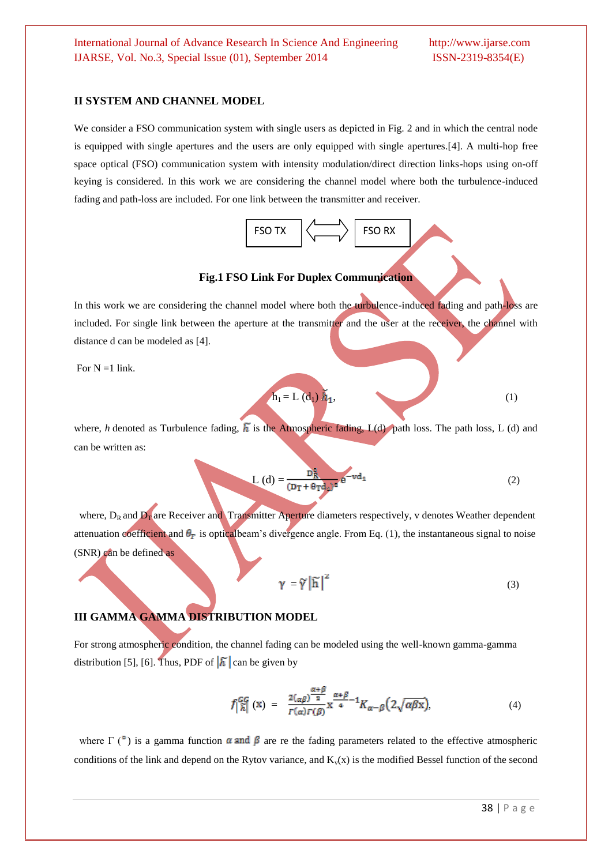#### **II SYSTEM AND CHANNEL MODEL**

We consider a FSO communication system with single users as depicted in Fig. 2 and in which the central node is equipped with single apertures and the users are only equipped with single apertures.[4]. A multi-hop free space optical (FSO) communication system with intensity modulation/direct direction links-hops using on-off keying is considered. In this work we are considering the channel model where both the turbulence-induced fading and path-loss are included. For one link between the transmitter and receiver.



**Fig.1 FSO Link For Duplex Communication**

In this work we are considering the channel model where both the turbulence-induced fading and path-loss are included. For single link between the aperture at the transmitter and the user at the receiver, the channel with distance d can be modeled as [4].

For  $N = 1$  link.

$$
\mathbf{h}_1 = \mathbf{L} \left( \mathbf{d}_1 \right) \tilde{h}_1, \tag{1}
$$

where, *h* denoted as Turbulence fading,  $\tilde{h}$  is the Atmospheric fading, L(d) path loss. The path loss, L (d) and can be written as:

$$
L(d) = \frac{D_R^2}{(D_T + \theta_T d_d)^2} e^{-vd_1}
$$
 (2)

where,  $D_R$  and  $D_T$  are Receiver and Transmitter Aperture diameters respectively, v denotes Weather dependent attenuation coefficient and  $\theta_T$  is opticalbeam's divergence angle. From Eq. (1), the instantaneous signal to noise (SNR) can be defined as

$$
\gamma = \widetilde{\gamma} |\widetilde{\mathbf{h}}|^2 \tag{3}
$$

#### **III GAMMA GAMMA DISTRIBUTION MODEL**

For strong atmospheric condition, the channel fading can be modeled using the well-known gamma-gamma distribution [5], [6]. Thus, PDF of  $\left|\tilde{h}\right|$  can be given by

$$
f\left|\begin{array}{ll}\n\widetilde{n} \\
\widetilde{n}\n\end{array}\right|\n\left(\mathbf{X}\right) = \frac{2(\alpha\beta)^{\frac{\alpha+\beta}{2}}}{\Gamma(\alpha)\Gamma(\beta)}\mathbf{X}^{\frac{\alpha+\beta}{4}-1}K_{\alpha-\beta}\left(2\sqrt{\alpha\beta\mathbf{X}}\right),\n\tag{4}
$$

where  $\Gamma$  ( $\degree$ ) is a gamma function  $\alpha$  and  $\beta$  are re the fading parameters related to the effective atmospheric conditions of the link and depend on the Rytov variance, and  $K_v(x)$  is the modified Bessel function of the second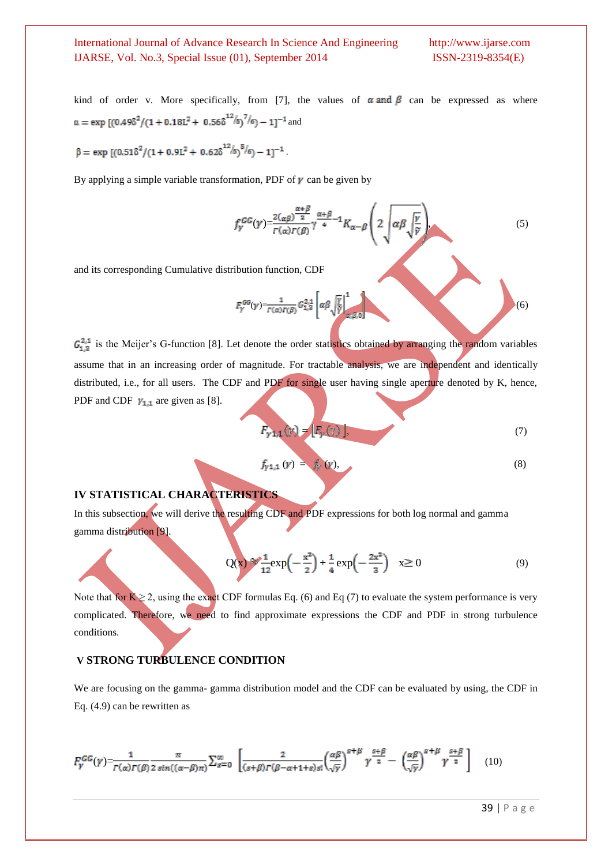kind of order v. More specifically, from [7], the values of  $\alpha$  and  $\beta$  can be expressed as where  $\alpha = \exp[(0.49\delta^2/(1+0.18L^2+0.56\delta^{12}/s)^7/6)-1]^{-1}$  and

$$
\beta = \text{exp}~[(0.51\delta^2/(1+0.9L^2+~0.62\delta^{12}/s)^{5}/6)-1]^{-1}.
$$

By applying a simple variable transformation, PDF of  $\gamma$  can be given by

$$
f_Y^{GG}(\gamma) = \frac{2(\alpha \beta)^{\frac{\alpha+\beta}{2}}}{\Gamma(\alpha)\Gamma(\beta)} \gamma^{\frac{\alpha+\beta}{4}-1} K_{\alpha-\beta} \left(2 \sqrt{\alpha \beta \sqrt{\frac{\gamma}{\gamma}}}\right). \tag{5}
$$

and its corresponding Cumulative distribution function, CDF

$$
F_{\gamma}^{GG}(\gamma) = \frac{1}{\Gamma(\alpha)\Gamma(\beta)} G_{1,2}^{2,1} \left[ \alpha \beta \sqrt{\frac{\gamma}{\gamma}} \right]_{\alpha,\beta,0}^{1} \tag{6}
$$

 $G_{1,3}^{2,1}$  is the Meijer's G-function [8]. Let denote the order statistics obtained by arranging the random variables assume that in an increasing order of magnitude. For tractable analysis, we are independent and identically distributed, i.e., for all users. The CDF and PDF for single user having single aperture denoted by K, hence, PDF and CDF  $\gamma_{1,1}$  are given as [8].

$$
F_{\gamma 1,1}(y) = [F_{\gamma}(y)], \tag{7}
$$

$$
f_{Y^{1,1}}(y) = f_Y(y), \t\t(8)
$$

**IV STATISTICAL CHARACTERISTICS**

In this subsection, we will derive the resulting CDF and PDF expressions for both log normal and gamma gamma distribution [9].

$$
Q(x) \approx \frac{1}{12} exp\left(-\frac{x^2}{2}\right) + \frac{1}{4} exp\left(-\frac{2x^2}{3}\right) \quad x \ge 0
$$
 (9)

Note that for  $K \ge 2$ , using the exact CDF formulas Eq. (6) and Eq (7) to evaluate the system performance is very complicated. Therefore, we need to find approximate expressions the CDF and PDF in strong turbulence conditions.

## **V STRONG TURBULENCE CONDITION**

We are focusing on the gamma- gamma distribution model and the CDF can be evaluated by using, the CDF in Eq. (4.9) can be rewritten as

$$
F_{\gamma}^{GG}(\gamma) = \frac{1}{\Gamma(\alpha)\Gamma(\beta)} \frac{\pi}{2\sin((\alpha - \beta)\pi)} \sum_{s=0}^{\infty} \left[ \frac{2}{(s+\beta)\Gamma(\beta - \alpha + 1+s)s!} \left(\frac{\alpha\beta}{\sqrt{\gamma}}\right)^{s+\beta} \gamma^{\frac{s+\beta}{2}} - \left(\frac{\alpha\beta}{\sqrt{\gamma}}\right)^{s+\beta} \gamma^{\frac{s+\beta}{2}} \right] \tag{10}
$$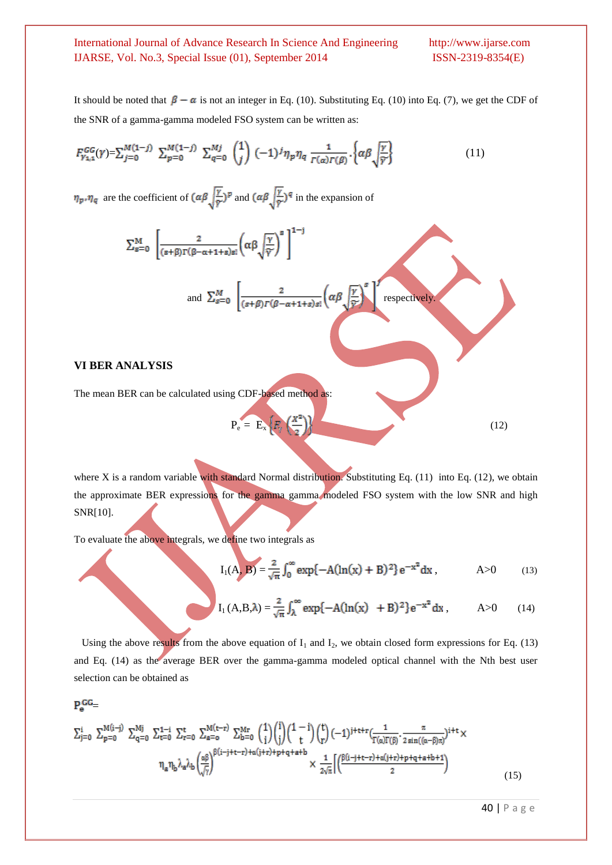It should be noted that  $\beta - \alpha$  is not an integer in Eq. (10). Substituting Eq. (10) into Eq. (7), we get the CDF of the SNR of a gamma-gamma modeled FSO system can be written as:

$$
F_{\gamma_{4,1}}^{GG}(\gamma) = \sum_{j=0}^{M(1-j)} \sum_{p=0}^{M(1-j)} \sum_{q=0}^{Mj} {1 \choose j} (-1)^j \eta_p \eta_q \frac{1}{\Gamma(\alpha)\Gamma(\beta)} \left\{ \alpha \beta \sqrt{\frac{\gamma}{\gamma}} \right\} \tag{11}
$$

 $\eta_p$ ,  $\eta_q$  are the coefficient of  $\left(\alpha\beta\sqrt{\frac{r}{r}}\right)^p$  and  $\left(\alpha\beta\sqrt{\frac{r}{r}}\right)^q$  in the expansion of

$$
\sum_{s=0}^{M} \left[ \frac{2}{(s+\beta)\Gamma(\beta-\alpha+1+s)s!} \left( \alpha \beta \sqrt{\frac{\gamma}{\gamma}} \right)^s \right]^{1-j}
$$
  
and 
$$
\sum_{s=0}^{M} \left[ \frac{2}{(s+\beta)\Gamma(\beta-\alpha+1+s)s!} \left( \alpha \beta \sqrt{\frac{\gamma}{\gamma}} \right)^s \right]
$$
 respectively.

#### **VI BER ANALYSIS**

The mean BER can be calculated using CDF-based method as:

 $P_e = E_x |E_y| \left( \frac{1}{\epsilon_0} \right)$  (12)

where X is a random variable with standard Normal distribution. Substituting Eq. (11) into Eq. (12), we obtain the approximate BER expressions for the gamma gamma modeled FSO system with the low SNR and high SNR[10].

To evaluate the above integrals, we define two integrals as

$$
I_1(A, B) = \frac{2}{\sqrt{\pi}} \int_0^\infty \exp\{-A(\ln(x) + B)^2\} e^{-x^2} dx, \qquad A > 0 \qquad (13)
$$

$$
I_1(A, B, \lambda) = \frac{2}{\sqrt{\pi}} \int_{\lambda}^{\infty} exp\{-A(\ln(x) + B)^2\} e^{-x^2} dx, \quad A > 0 \quad (14)
$$

Using the above results from the above equation of  $I_1$  and  $I_2$ , we obtain closed form expressions for Eq. (13) and Eq. (14) as the average BER over the gamma-gamma modeled optical channel with the Nth best user selection can be obtained as

## $P_a$ <sub>GG</sub>

$$
\Sigma_{j=0}^{i} \ \Sigma_{p=0}^{M(i-j)} \ \Sigma_{q=0}^{Mj} \ \Sigma_{t=0}^{1-i} \ \Sigma_{t=0}^{t} \ \Sigma_{n=0}^{M(t-r)} \ \Sigma_{b=0}^{Mr} \ {1 \choose i} {i \choose j} {1-i \choose t} {t \choose r} (-1)^{j+t+r} \frac{1}{\Gamma(\alpha)\Gamma(\beta)} \cdot \frac{\pi}{2 \sin((\alpha-\beta)\pi)}^{j+t} \times \ \eta_a \eta_b \lambda_a \lambda_b \left(\frac{\alpha\beta}{\sqrt{\gamma}}\right)^{\beta(i-j+t-r)+\alpha(j+r)+p+q+ a+b} \times \frac{1}{2\sqrt{\pi}} \left[ \left(\frac{\beta(i-j+t-r)+\alpha(j+r)+p+q+a+b+1}{2}\right) \right] \tag{15}
$$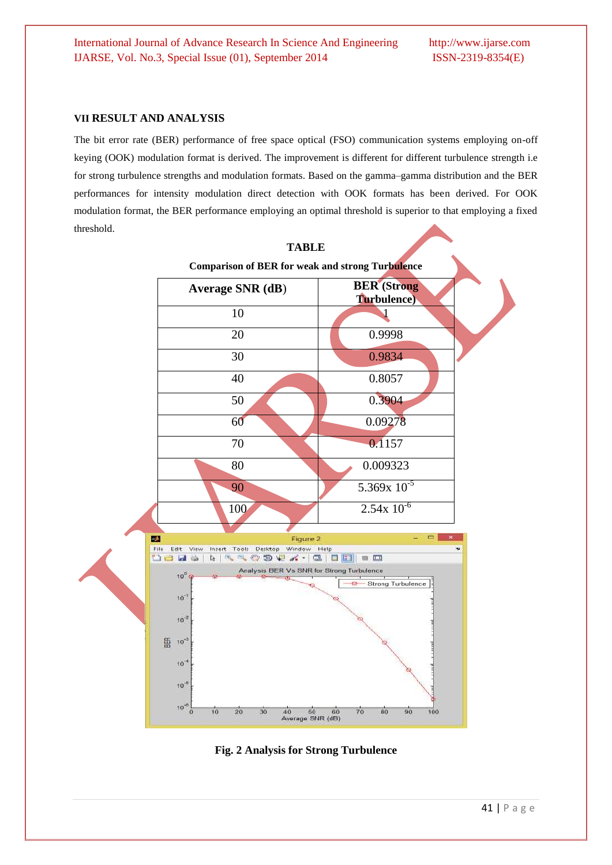#### **VII RESULT AND ANALYSIS**

The bit error rate (BER) performance of free space optical (FSO) communication systems employing on-off keying (OOK) modulation format is derived. The improvement is different for different turbulence strength i.e for strong turbulence strengths and modulation formats. Based on the gamma–gamma distribution and the BER performances for intensity modulation direct detection with OOK formats has been derived. For OOK modulation format, the BER performance employing an optimal threshold is superior to that employing a fixed threshold.



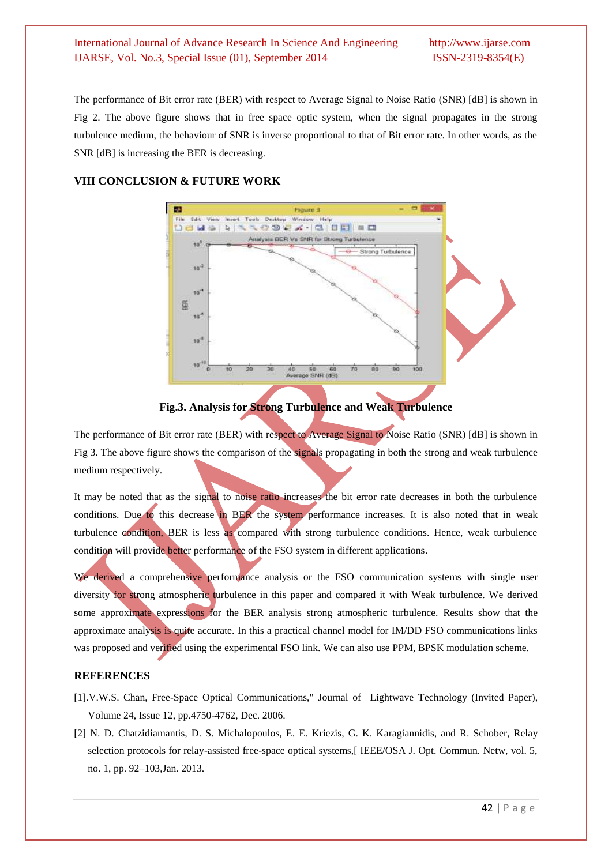The performance of Bit error rate (BER) with respect to Average Signal to Noise Ratio (SNR) [dB] is shown in Fig 2. The above figure shows that in free space optic system, when the signal propagates in the strong turbulence medium, the behaviour of SNR is inverse proportional to that of Bit error rate. In other words, as the SNR [dB] is increasing the BER is decreasing.

## **VIII CONCLUSION & FUTURE WORK**



**Fig.3. Analysis for Strong Turbulence and Weak Turbulence**

The performance of Bit error rate (BER) with respect to Average Signal to Noise Ratio (SNR) [dB] is shown in Fig 3. The above figure shows the comparison of the signals propagating in both the strong and weak turbulence medium respectively.

It may be noted that as the signal to noise ratio increases the bit error rate decreases in both the turbulence conditions. Due to this decrease in BER the system performance increases. It is also noted that in weak turbulence condition, BER is less as compared with strong turbulence conditions. Hence, weak turbulence condition will provide better performance of the FSO system in different applications.

We derived a comprehensive performance analysis or the FSO communication systems with single user diversity for strong atmospheric turbulence in this paper and compared it with Weak turbulence. We derived some approximate expressions for the BER analysis strong atmospheric turbulence. Results show that the approximate analysis is quite accurate. In this a practical channel model for IM/DD FSO communications links was proposed and verified using the experimental FSO link. We can also use PPM, BPSK modulation scheme.

## **REFERENCES**

- [1].V.W.S. Chan, Free-Space Optical Communications," Journal of Lightwave Technology (Invited Paper), Volume 24, Issue 12, pp.4750-4762, Dec. 2006.
- [2] N. D. Chatzidiamantis, D. S. Michalopoulos, E. E. Kriezis, G. K. Karagiannidis, and R. Schober, Relay selection protocols for relay-assisted free-space optical systems, [IEEE/OSA J. Opt. Commun. Netw, vol. 5, no. 1, pp. 92–103,Jan. 2013.